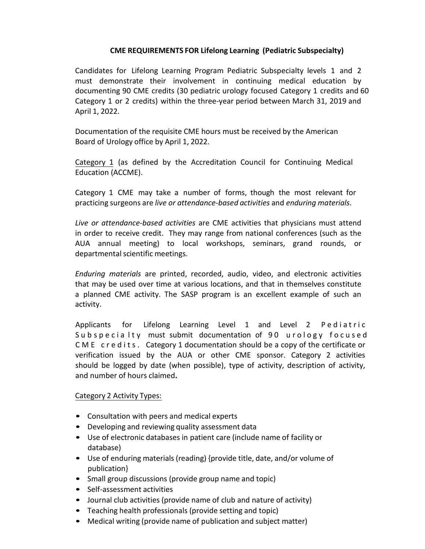## **CME REQUIREMENTS FOR Lifelong Learning (Pediatric Subspecialty)**

Candidates for Lifelong Learning Program Pediatric Subspecialty levels 1 and 2 must demonstrate their involvement in continuing medical education by documenting 90 CME credits (30 pediatric urology focused Category 1 credits and 60 Category 1 or 2 credits) within the three-year period between March 31, 2019 and April 1, 2022.

Documentation of the requisite CME hours must be received by the American Board of Urology office by April 1, 2022.

Category 1 (as defined by the Accreditation Council for Continuing Medical Education (ACCME).

Category 1 CME may take a number of forms, though the most relevant for practicing surgeons are *live or attendance-based activities* and *enduring materials*.

*Live or attendance-based activities* are CME activities that physicians must attend in order to receive credit. They may range from national conferences (such as the AUA annual meeting) to local workshops, seminars, grand rounds, or departmental scientific meetings.

*Enduring materials* are printed, recorded, audio, video, and electronic activities that may be used over time at various locations, and that in themselves constitute a planned CME activity. The SASP program is an excellent example of such an activity.

Applicants for Lifelong Learning Level 1 and Level  $2$  Pediatric Subspecialty must submit documentation of 90 urology focused C M E c r e d i t s . Category 1 documentation should be a copy of the certificate or verification issued by the AUA or other CME sponsor. Category 2 activities should be logged by date (when possible), type of activity, description of activity, and number of hours claimed**.**

## Category 2 Activity Types:

- Consultation with peers and medical experts
- Developing and reviewing quality assessment data
- Use of electronic databases in patient care (include name of facility or database)
- Use of enduring materials (reading) {provide title, date, and/or volume of publication}
- Small group discussions (provide group name and topic)
- Self-assessment activities
- Journal club activities (provide name of club and nature of activity)
- Teaching health professionals (provide setting and topic)
- Medical writing (provide name of publication and subject matter)